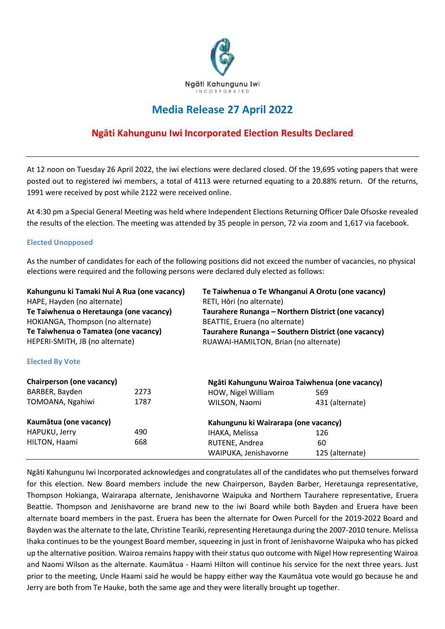

## **Media Release 27 April 2022**

## **Ngāti Kahungunu Iwi Incorporated Election Results Declared**

At 12 noon on Tuesday 26 April 2022, the iwi elections were declared closed. Of the 19,695 voting papers that were posted out to registered iwi members, a total of 4113 were returned equating to a 20.88% return. Of the returns, 1991 were received by post while 2122 were received online.

At 4:30 pm a Special General Meeting was held where Independent Elections Returning Officer Dale Ofsoske revealed the results of the election. The meeting was attended by 35 people in person, 72 via zoom and 1,617 via facebook.

## **Elected Unopposed**

As the number of candidates for each of the following positions did not exceed the number of vacancies, no physical elections were required and the following persons were declared duly elected as follows:

| Kahungunu ki Tamaki Nui A Rua (one vacancy)<br>HAPE, Hayden (no alternate)<br>Te Taiwhenua o Heretaunga (one vacancy)<br>HOKIANGA, Thompson (no alternate)<br>Te Taiwhenua o Tamatea (one vacancy) |      | Te Taiwhenua o Te Whanganui A Orotu (one vacancy)<br>RETI, Hōri (no alternate)<br>Taurahere Runanga - Northern District (one vacancy)<br>BEATTIE, Eruera (no alternate)<br>Taurahere Runanga – Southern District (one vacancy) |                 |                                 |  |                                                |  |
|----------------------------------------------------------------------------------------------------------------------------------------------------------------------------------------------------|------|--------------------------------------------------------------------------------------------------------------------------------------------------------------------------------------------------------------------------------|-----------------|---------------------------------|--|------------------------------------------------|--|
|                                                                                                                                                                                                    |      |                                                                                                                                                                                                                                |                 | HEPERI-SMITH, JB (no alternate) |  | RUAWAI-HAMILTON, Brian (no alternate)          |  |
|                                                                                                                                                                                                    |      |                                                                                                                                                                                                                                |                 | <b>Elected By Vote</b>          |  |                                                |  |
|                                                                                                                                                                                                    |      |                                                                                                                                                                                                                                |                 | Chairperson (one vacancy)       |  | Ngāti Kahungunu Wairoa Taiwhenua (one vacancy) |  |
| BARBER, Bayden                                                                                                                                                                                     | 2273 | HOW, Nigel William                                                                                                                                                                                                             | 569             |                                 |  |                                                |  |
| TOMOANA, Ngahiwi                                                                                                                                                                                   | 1787 | WILSON, Naomi                                                                                                                                                                                                                  | 431 (alternate) |                                 |  |                                                |  |
| Kaumātua (one vacancy)                                                                                                                                                                             |      | Kahungunu ki Wairarapa (one vacancy)                                                                                                                                                                                           |                 |                                 |  |                                                |  |
| HAPUKU, Jerry                                                                                                                                                                                      | 490  | IHAKA, Melissa                                                                                                                                                                                                                 | 126             |                                 |  |                                                |  |
| HILTON, Haami                                                                                                                                                                                      | 668  | RUTENE, Andrea                                                                                                                                                                                                                 | 60              |                                 |  |                                                |  |
|                                                                                                                                                                                                    |      | WAIPUKA, Jenishavorne                                                                                                                                                                                                          | 125 (alternate) |                                 |  |                                                |  |

Ngāti Kahungunu Iwi Incorporated acknowledges and congratulates all of the candidates who put themselves forward for this election. New Board members include the new Chairperson, Bayden Barber, Heretaunga representative, Thompson Hokianga, Wairarapa alternate, Jenishavorne Waipuka and Northern Taurahere representative, Eruera Beattie. Thompson and Jenishavorne are brand new to the iwi Board while both Bayden and Eruera have been alternate board members in the past. Eruera has been the alternate for Owen Purcell for the 2019-2022 Board and Bayden was the alternate to the late, Christine Teariki, representing Heretaunga during the 2007-2010 tenure. Melissa Ihaka continues to be the youngest Board member, squeezing in just in front of Jenishavorne Waipuka who has picked up the alternative position. Wairoa remains happy with their status quo outcome with Nigel How representing Wairoa and Naomi Wilson as the alternate. Kaumātua - Haami Hilton will continue his service for the next three years. Just prior to the meeting, Uncle Haami said he would be happy either way the Kaumātua vote would go because he and Jerry are both from Te Hauke, both the same age and they were literally brought up together.